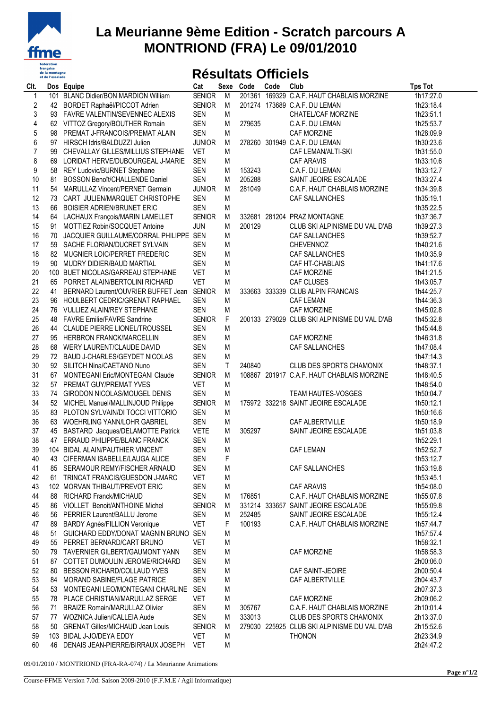

## **La Meurianne 9ème Edition - Scratch parcours A MONTRIOND (FRA) Le 09/01/2010**

## **Résultats Officiels**

| Clt.                    |    | Dos Equipe                                | Cat           | Sexe      | Code   | Code | Club                                         | <b>Tps Tot</b> |
|-------------------------|----|-------------------------------------------|---------------|-----------|--------|------|----------------------------------------------|----------------|
| 1                       |    | 101 BLANC Didier/BON MARDION William      | <b>SENIOR</b> | M         |        |      | 201361 169329 C.A.F. HAUT CHABLAIS MORZINE   | 1h17:27.0      |
| $\overline{\mathbf{c}}$ |    | 42 BORDET Raphaël/PICCOT Adrien           | <b>SENIOR</b> | M         |        |      | 201274 173689 C.A.F. DU LEMAN                | 1h23:18.4      |
| 3                       |    | 93 FAVRE VALENTIN/SEVENNEC ALEXIS         | <b>SEN</b>    | M         |        |      | CHATEL/CAF MORZINE                           | 1h23:51.1      |
| 4                       |    | 62 VITTOZ Gregory/BOUTHER Romain          | <b>SEN</b>    | M         | 279635 |      | C.A.F. DU LEMAN                              | 1h25:53.7      |
| 5                       |    | 98 PREMAT J-FRANCOIS/PREMAT ALAIN         | <b>SEN</b>    | M         |        |      | CAF MORZINE                                  | 1h28:09.9      |
| 6                       |    | 97 HIRSCH Idris/BALDUZZI Julien           | <b>JUNIOR</b> | M         |        |      | 278260 301949 C.A.F. DU LEMAN                | 1h30:23.6      |
| $\overline{7}$          | 99 | CHEVALLAY GILLES/MILLIUS STEPHANE         | <b>VET</b>    | ${\sf M}$ |        |      | CAF LEMAN/ALTI-SKI                           | 1h31:55.0      |
| 8                       |    | 69 LORIDAT HERVE/DUBOURGEAL J-MARIE       | <b>SEN</b>    | ${\sf M}$ |        |      | <b>CAF ARAVIS</b>                            | 1h33:10.6      |
| 9                       |    | 58 REY Ludovic/BURNET Stephane            | <b>SEN</b>    | M         | 153243 |      | C.A.F. DU LEMAN                              | 1h33:12.7      |
| 10                      | 81 | BOSSON Benoît/CHALLENDE Daniel            | <b>SEN</b>    | M         | 205288 |      | SAINT JEOIRE ESCALADE                        | 1h33:27.4      |
| 11                      |    | 54 MARULLAZ Vincent/PERNET Germain        | <b>JUNIOR</b> | M         | 281049 |      | C.A.F. HAUT CHABLAIS MORZINE                 | 1h34:39.8      |
| 12                      |    | 73 CART JULIEN/MARQUET CHRISTOPHE         | <b>SEN</b>    | M         |        |      | CAF SALLANCHES                               | 1h35:19.1      |
| 13                      |    | 66 BOISIER ADRIEN/BRUNET ERIC             | <b>SEN</b>    | M         |        |      |                                              | 1h35:22.5      |
| 14                      |    | 64 LACHAUX François/MARIN LAMELLET        | <b>SENIOR</b> | M         |        |      | 332681 281204 PRAZ MONTAGNE                  | 1h37:36.7      |
| 15                      |    | 91 MOTTIEZ Robin/SOCQUET Antoine          | <b>JUN</b>    | M         | 200129 |      | CLUB SKI ALPINISME DU VAL D'AB               | 1h39:27.3      |
| 16                      |    | 70 JACQUIER GUILLAUME/CORRAL PHILIPPE SEN |               | M         |        |      | <b>CAF SALLANCHES</b>                        | 1h39:52.7      |
| 17                      |    | 59 SACHE FLORIAN/DUCRET SYLVAIN           | <b>SEN</b>    | M         |        |      | <b>CHEVENNOZ</b>                             | 1h40:21.6      |
| 18                      |    | 82 MUGNIER LOIC/PERRET FREDERIC           | <b>SEN</b>    | M         |        |      | <b>CAF SALLANCHES</b>                        | 1h40:35.9      |
| 19                      | 90 | MUDRY DIDIER/BAUD MARTIAL                 | <b>SEN</b>    | M         |        |      | CAF HT-CHABLAIS                              | 1h41:17.6      |
| 20                      |    | 100 BUET NICOLAS/GARREAU STEPHANE         | <b>VET</b>    | M         |        |      | <b>CAF MORZINE</b>                           | 1h41:21.5      |
| 21                      |    | 65 PORRET ALAIN/BERTOLINI RICHARD         | <b>VET</b>    | M         |        |      | CAF CLUSES                                   | 1h43:05.7      |
| 22                      | 41 | BERNARD Laurent/OUVRIER BUFFET Jean       | <b>SENIOR</b> | M         |        |      | 333663 333339 CLUB ALPIN FRANCAIS            | 1h44:25.7      |
| 23                      |    | 96 HOULBERT CEDRIC/GRENAT RAPHAEL         | <b>SEN</b>    | M         |        |      | <b>CAF LEMAN</b>                             | 1h44:36.3      |
| 24                      |    |                                           | <b>SEN</b>    |           |        |      | CAF MORZINE                                  |                |
|                         |    | 76 VULLIEZ ALAIN/REY STEPHANE             |               | M<br>F    |        |      |                                              | 1h45:02.8      |
| 25                      |    | 48 FAVRE Emilie/FAVRE Sandrine            | <b>SENIOR</b> |           |        |      | 200133 279029 CLUB SKI ALPINISME DU VAL D'AB | 1h45:32.8      |
| 26                      |    | 44 CLAUDE PIERRE LIONEL/TROUSSEL          | <b>SEN</b>    | ${\sf M}$ |        |      |                                              | 1h45:44.8      |
| 27                      |    | 95 HERBRON FRANCK/MARCELLIN               | <b>SEN</b>    | ${\sf M}$ |        |      | <b>CAF MORZINE</b>                           | 1h46:31.8      |
| 28                      |    | 68 WERY LAURENT/CLAUDE DAVID              | <b>SEN</b>    | M         |        |      | CAF SALLANCHES                               | 1h47:08.4      |
| 29                      |    | 72 BAUD J-CHARLES/GEYDET NICOLAS          | <b>SEN</b>    | M         |        |      |                                              | 1h47:14.3      |
| 30                      |    | 92 SILITCH Nina/CAETANO Nuno              | <b>SEN</b>    | Τ         | 240840 |      | <b>CLUB DES SPORTS CHAMONIX</b>              | 1h48:37.1      |
| 31                      |    | 67 MONTEGANI Eric/MONTEGANI Claude        | <b>SENIOR</b> | M         |        |      | 108867 201917 C.A.F. HAUT CHABLAIS MORZINE   | 1h48:40.5      |
| 32                      |    | 57 PREMAT GUY/PREMAT YVES                 | <b>VET</b>    | M         |        |      |                                              | 1h48:54.0      |
| 33                      |    | 74 GIRODON NICOLAS/MOUGEL DENIS           | <b>SEN</b>    | M         |        |      | <b>TEAM HAUTES-VOSGES</b>                    | 1h50:04.7      |
| 34                      |    | 52 MICHEL Manuel/MALLINJOUD Philippe      | <b>SENIOR</b> | M         |        |      | 175972 332218 SAINT JEOIRE ESCALADE          | 1h50:12.1      |
| 35                      |    | 83 PLOTON SYLVAIN/DI TOCCI VITTORIO       | <b>SEN</b>    | M         |        |      |                                              | 1h50:16.6      |
| 36                      |    | 63 WOEHRLING YANN/LOHR GABRIEL            | <b>SEN</b>    | M         |        |      | CAF ALBERTVILLE                              | 1h50:18.9      |
| 37                      |    | 45 BASTARD Jacques/DELAMOTTE Patrick      | <b>VETE</b>   | M         | 305297 |      | SAINT JEOIRE ESCALADE                        | 1h51:03.8      |
| 38                      |    | 47 ERRAUD PHILIPPE/BLANC FRANCK           | <b>SEN</b>    | M         |        |      |                                              | 1h52:29.1      |
| 39                      |    | 104 BIDAL ALAIN/PAUTHIER VINCENT          | <b>SEN</b>    | M         |        |      | <b>CAF LEMAN</b>                             | 1h52:52.7      |
| 40                      |    | 43 CIFERMAN ISABELLE/LAUGA ALICE          | <b>SEN</b>    | F         |        |      |                                              | 1h53:12.7      |
| 41                      |    | 85 SERAMOUR REMY/FISCHER ARNAUD           | <b>SEN</b>    | M         |        |      | CAF SALLANCHES                               | 1h53:19.8      |
| 42                      |    | 61 TRINCAT FRANCIS/GUESDON J-MARC         | <b>VET</b>    | M         |        |      |                                              | 1h53:45.1      |
| 43                      |    | 102 MORVAN THIBAUT/PREVOT ERIC            | <b>SEN</b>    | M         |        |      | <b>CAF ARAVIS</b>                            | 1h54:08.0      |
| 44                      |    | 88 RICHARD Franck/MICHAUD                 | <b>SEN</b>    | M         | 176851 |      | C.A.F. HAUT CHABLAIS MORZINE                 | 1h55:07.8      |
| 45                      |    | 86 VIOLLET Benoit/ANTHOINE Michel         | <b>SENIOR</b> | M         |        |      | 331214 333657 SAINT JEOIRE ESCALADE          | 1h55:09.8      |
| 46                      |    | 56 PERRIER Laurent/BALLU Jerome           | <b>SEN</b>    | M         | 252485 |      | SAINT JEOIRE ESCALADE                        | 1h55:12.4      |
| 47                      |    | 89 BARDY Agnès/FILLION Veronique          | <b>VET</b>    | F         | 100193 |      | C.A.F. HAUT CHABLAIS MORZINE                 | 1h57:44.7      |
| 48                      |    | 51 GUICHARD EDDY/DONAT MAGNIN BRUNO SEN   |               | M         |        |      |                                              | 1h57:57.4      |
| 49                      |    | 55 PERRET BERNARD/CART BRUNO              | <b>VET</b>    | M         |        |      |                                              | 1h58:32.1      |
| 50                      |    | 79 TAVERNIER GILBERT/GAUMONT YANN         | <b>SEN</b>    | M         |        |      | CAF MORZINE                                  | 1h58:58.3      |
| 51                      |    | 87 COTTET DUMOULIN JEROME/RICHARD         | <b>SEN</b>    | M         |        |      |                                              | 2h00:06.0      |
| 52                      | 80 | BESSON RICHARD/COLLAUD YVES               | <b>SEN</b>    | M         |        |      | <b>CAF SAINT-JEOIRE</b>                      | 2h00:50.4      |
| 53                      | 84 | MORAND SABINE/FLAGE PATRICE               | <b>SEN</b>    | M         |        |      | CAF ALBERTVILLE                              | 2h04:43.7      |
| 54                      |    | 53 MONTEGANI LEO/MONTEGANI CHARLINE       | <b>SEN</b>    | M         |        |      |                                              | 2h07:37.3      |
| 55                      |    | 78 PLACE CHRISTIAN/MARULLAZ SERGE         | <b>VET</b>    | M         |        |      | CAF MORZINE                                  | 2h09:06.2      |
| 56                      |    | 71 BRAIZE Romain/MARULLAZ Olivier         | <b>SEN</b>    | M         | 305767 |      | C.A.F. HAUT CHABLAIS MORZINE                 | 2h10:01.4      |
| 57                      |    | 77 WOZNICA Julien/CALLEIA Aude            | <b>SEN</b>    | M         | 333013 |      | <b>CLUB DES SPORTS CHAMONIX</b>              | 2h13:37.0      |
| 58                      | 50 | <b>GRENAT Gilles/MICHAUD Jean Louis</b>   | <b>SENIOR</b> | M         |        |      | 279030 225925 CLUB SKI ALPINISME DU VAL D'AB | 2h15:52.6      |
| 59                      |    | 103 BIDAL J-JO/DEYA EDDY                  | <b>VET</b>    | M         |        |      | <b>THONON</b>                                | 2h23:34.9      |
| 60                      |    | 46 DENAIS JEAN-PIERRE/BIRRAUX JOSEPH      | <b>VET</b>    | M         |        |      |                                              | 2h24:47.2      |

09/01/2010 / MONTRIOND (FRA-RA-074) / La Meurianne Animations